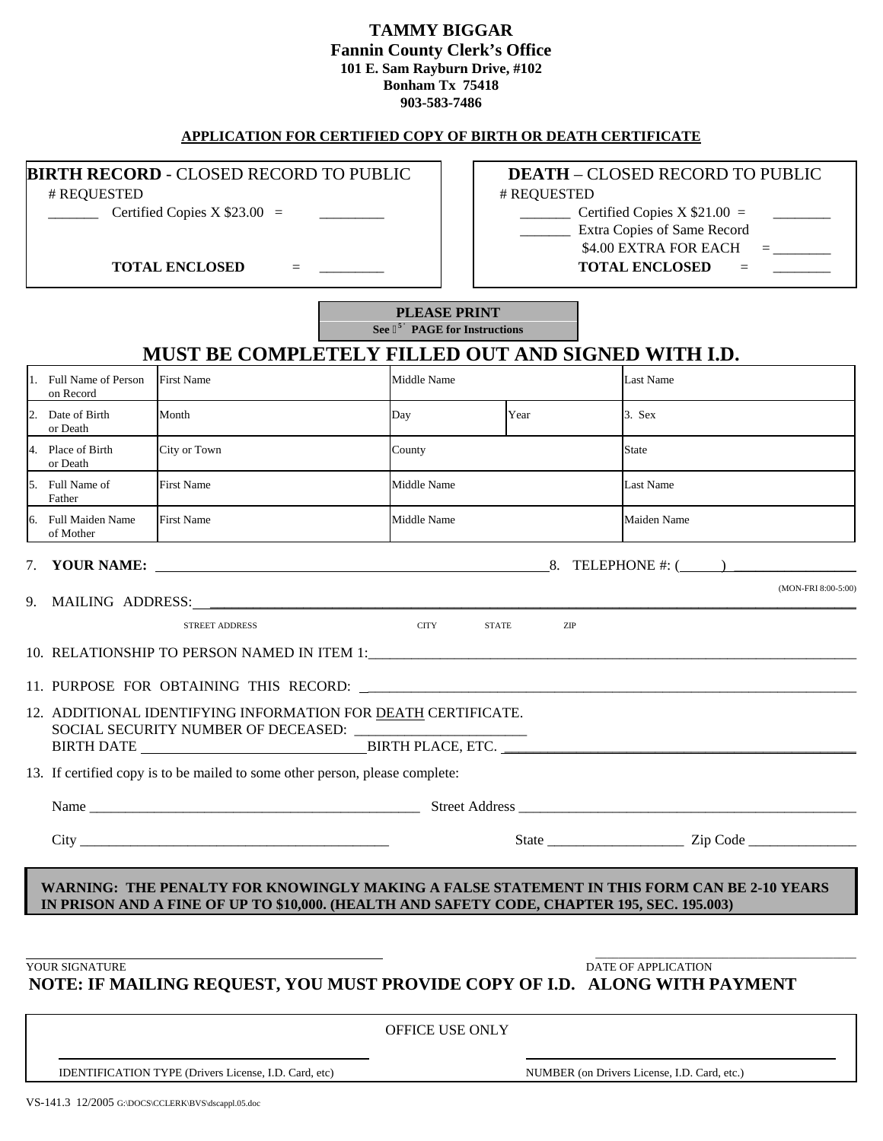# **TAMMY BIGGAR Fannin County Clerk's Office 101 E. Sam Rayburn Drive, #102 Bonham Tx 75418 903-583-7486**

#### **APPLICATION FOR CERTIFIED COPY OF BIRTH OR DEATH CERTIFICATE**

# **BIRTH RECORD** - CLOSED RECORD TO PUBLIC  $\vert \cdot \vert$  **DEATH** – CLOSED RECORD TO PUBLIC

REQUESTED # # REQUESTED

 $\begin{array}{ccc} \text{1} & \text{1} & \text{1} & \text{1} & \text{1} & \text{1} & \text{1} & \text{1} & \text{1} & \text{1} & \text{1} & \text{1} & \text{1} & \text{1} & \text{1} & \text{1} & \text{1} & \text{1} & \text{1} & \text{1} & \text{1} & \text{1} & \text{1} & \text{1} & \text{1} & \text{1} & \text{1} & \text{1} & \text{1} & \text{1} & \text{1} & \text{1} & \text{1} & \text{1} & \text{1} & \text{$ 

TOTAL ENCLOSED  $=$   $\qquad$  **TOTAL ENCLOSED** =

\_\_\_\_\_\_\_ Extra Copies of Same Record

 $$4.00$  EXTRA FOR EACH  $=$ 

**PLEASE PRINT See 5' PAGE for Instructions** 

# **MUST BE COMPLETELY FILLED OUT AND SIGNED WITH I.D.**

| 1. Full Name of Person<br>on Record                                                                                                                                                                                           | <b>First Name</b>                                                            | Middle Name                 |      | <b>Last Name</b> |  |  |  |
|-------------------------------------------------------------------------------------------------------------------------------------------------------------------------------------------------------------------------------|------------------------------------------------------------------------------|-----------------------------|------|------------------|--|--|--|
| 2. Date of Birth<br>or Death                                                                                                                                                                                                  | Month                                                                        | Day                         | Year | $3.$ Sex         |  |  |  |
| 4. Place of Birth<br>or Death                                                                                                                                                                                                 | City or Town                                                                 | County                      |      | <b>State</b>     |  |  |  |
| 5. Full Name of<br>Father                                                                                                                                                                                                     | <b>First Name</b>                                                            | Middle Name                 |      | Last Name        |  |  |  |
| 6. Full Maiden Name<br>of Mother                                                                                                                                                                                              | <b>First Name</b>                                                            | Middle Name                 |      | Maiden Name      |  |  |  |
|                                                                                                                                                                                                                               |                                                                              |                             |      |                  |  |  |  |
| (MON-FRI 8:00-5:00)                                                                                                                                                                                                           |                                                                              |                             |      |                  |  |  |  |
|                                                                                                                                                                                                                               | <b>STREET ADDRESS</b>                                                        | <b>CITY</b><br><b>STATE</b> | ZIP  |                  |  |  |  |
|                                                                                                                                                                                                                               |                                                                              |                             |      |                  |  |  |  |
|                                                                                                                                                                                                                               |                                                                              |                             |      |                  |  |  |  |
|                                                                                                                                                                                                                               | 12. ADDITIONAL IDENTIFYING INFORMATION FOR DEATH CERTIFICATE.                |                             |      |                  |  |  |  |
|                                                                                                                                                                                                                               | 13. If certified copy is to be mailed to some other person, please complete: |                             |      |                  |  |  |  |
| Name Street Address Street Address Street Address Street Address Street Address Street Address Street Address Street Address Street Address Street Address Street Address Street Address Street Address Street Address Street |                                                                              |                             |      |                  |  |  |  |
|                                                                                                                                                                                                                               |                                                                              |                             |      |                  |  |  |  |
| WARNING: THE PENALTY FOR KNOWINGLY MAKING A FALSE STATEMENT IN THIS FORM CAN BE 2-10 YEARS<br>IN PRISON AND A FINE OF UP TO \$10,000. (HEALTH AND SAFETY CODE, CHAPTER 195, SEC. 195.003)                                     |                                                                              |                             |      |                  |  |  |  |

**YOUR SIGNATURE** DATE OF APPLICATION

**NOTE: IF MAILING REQUEST, YOU MUST PROVIDE COPY OF I.D. ALONG WITH PAYMENT** 

OFFICE USE ONLY

 $\overline{\phantom{a}}$  , and the contract of the contract of the contract of the contract of the contract of the contract of the contract of the contract of the contract of the contract of the contract of the contract of the contrac

IDENTIFICATION TYPE (Drivers License, I.D. Card, etc) NUMBER (on Drivers License, I.D. Card, etc.)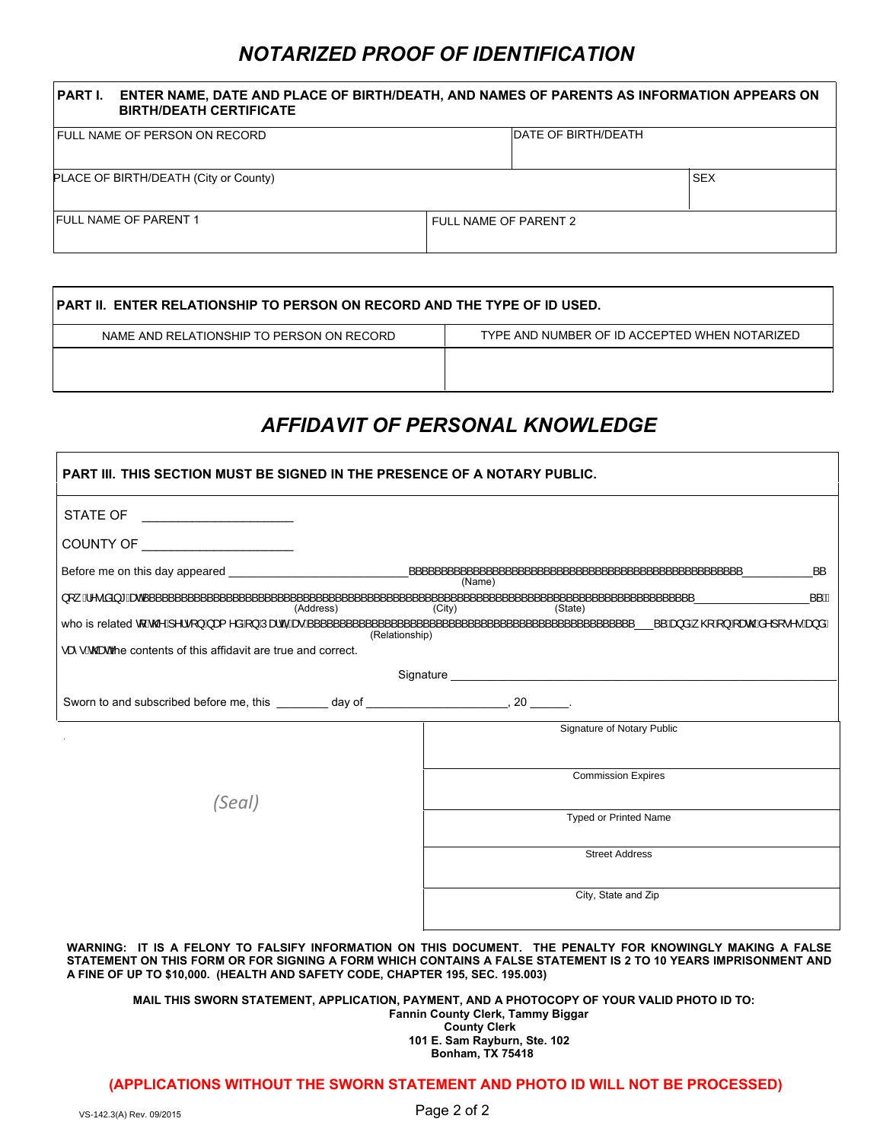# *NOTARIZED PROOF OF IDENTIFICATION*

| ENTER NAME, DATE AND PLACE OF BIRTH/DEATH, AND NAMES OF PARENTS AS INFORMATION APPEARS ON<br><b>PART I.</b><br><b>BIRTH/DEATH CERTIFICATE</b> |                             |  |  |  |  |  |
|-----------------------------------------------------------------------------------------------------------------------------------------------|-----------------------------|--|--|--|--|--|
| FULL NAME OF PERSON ON RECORD                                                                                                                 | <b>IDATE OF BIRTH/DEATH</b> |  |  |  |  |  |
| PLACE OF BIRTH/DEATH (City or County)                                                                                                         | <b>SEX</b>                  |  |  |  |  |  |
| <b>IFULL NAME OF PARENT 1</b>                                                                                                                 | FULL NAME OF PARENT 2       |  |  |  |  |  |

| <b>PART II. ENTER RELATIONSHIP TO PERSON ON RECORD AND THE TYPE OF ID USED.</b> |                                               |  |  |  |  |
|---------------------------------------------------------------------------------|-----------------------------------------------|--|--|--|--|
| NAME AND RELATIONSHIP TO PERSON ON RECORD                                       | TYPE AND NUMBER OF ID ACCEPTED WHEN NOTARIZED |  |  |  |  |
|                                                                                 |                                               |  |  |  |  |

# *AFFIDAVIT OF PERSONAL KNOWLEDGE*

| <b>PART III. THIS SECTION MUST BE SIGNED IN THE PRESENCE OF A NOTARY PUBLIC.</b>                                                                                                                                             |                |                                          |      |  |  |
|------------------------------------------------------------------------------------------------------------------------------------------------------------------------------------------------------------------------------|----------------|------------------------------------------|------|--|--|
| STATE OF<br><u> 1990 - John Stein, Amerikaansk politiker (</u>                                                                                                                                                               |                |                                          |      |  |  |
| COUNTY OF _____________________                                                                                                                                                                                              |                |                                          |      |  |  |
|                                                                                                                                                                                                                              |                | ,,,,,,,,,,,,,,,,,,,,,,,,,,,,,,<br>(Name) |      |  |  |
| Address) (City) (State) (State) (City) (State) (City) (State) (City) (State) (Address (Address (Address ) (City) (State) (Address ) (City) (State) (Address ) (City) (State ) (Address ) (State ) (Address ) (Address ) (Add |                |                                          | 一、一色 |  |  |
| • $\hat{\alpha}$ • $\hat{\alpha}$ and contents of this affidavit are true and correct.                                                                                                                                       | (Relationship) |                                          |      |  |  |
|                                                                                                                                                                                                                              |                |                                          |      |  |  |
|                                                                                                                                                                                                                              |                |                                          |      |  |  |
|                                                                                                                                                                                                                              |                | Signature of Notary Public               |      |  |  |
|                                                                                                                                                                                                                              |                | <b>Commission Expires</b>                |      |  |  |
| (Seal)                                                                                                                                                                                                                       |                | <b>Typed or Printed Name</b>             |      |  |  |
|                                                                                                                                                                                                                              |                | <b>Street Address</b>                    |      |  |  |
|                                                                                                                                                                                                                              |                | City, State and Zip                      |      |  |  |
| WARNING: IT IS A FELONY TO FALSIFY INFORMATION ON THIS DOCUMENT. THE PENALTY FOR KNOWINGLY MAKING A FALSE                                                                                                                    |                |                                          |      |  |  |

**STATEMENT ON THIS FORM OR FOR SIGNING A FORM WHICH CONTAINS A FALSE STATEMENT IS 2 TO 10 YEARS IMPRISONMENT AND A FINE OF UP TO \$10,000. (HEALTH AND SAFETY CODE, CHAPTER 195, SEC. 195.003)** 

**MAIL THIS SWORN STATEMENT, APPLICATION, PAYMENT, AND A PHOTOCOPY OF YOUR VALID PHOTO ID TO: Fannin County Clerk, Tammy Biggar County Clerk 101 E. Sam Rayburn, Ste. 102 Bonham, TX 75418**

#### **(APPLICATIONS WITHOUT THE SWORN STATEMENT AND PHOTO ID WILL NOT BE PROCESSED)**